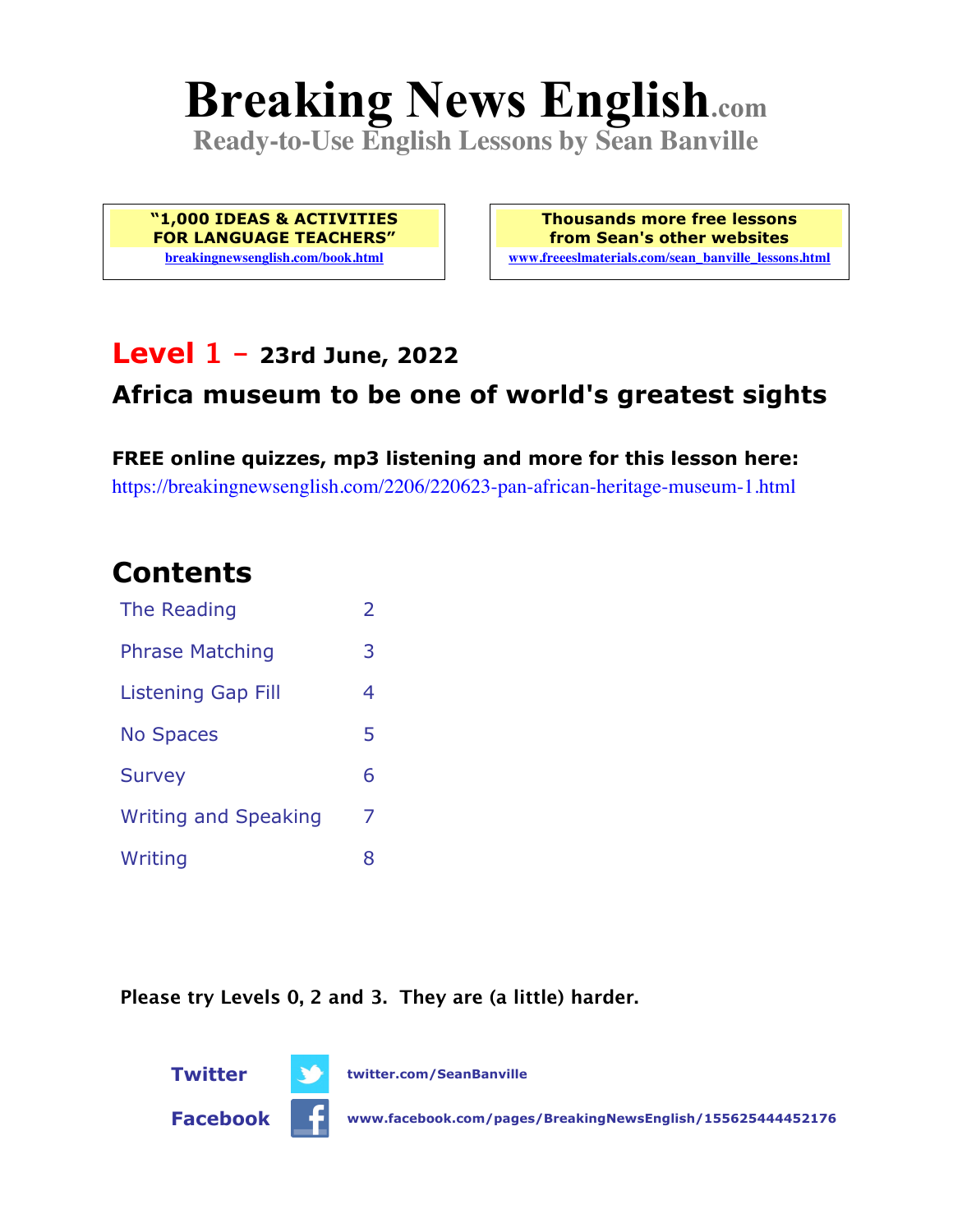# **Breaking News English.com**

**Ready-to-Use English Lessons by Sean Banville**

**"1,000 IDEAS & ACTIVITIES FOR LANGUAGE TEACHERS" breakingnewsenglish.com/book.html**

**Thousands more free lessons from Sean's other websites www.freeeslmaterials.com/sean\_banville\_lessons.html**

### **Level 1 - 23rd June, 2022**

### **Africa museum to be one of world's greatest sights**

**FREE online quizzes, mp3 listening and more for this lesson here:** https://breakingnewsenglish.com/2206/220623-pan-african-heritage-museum-1.html

### **Contents**

| The Reading                 | $\overline{2}$ |
|-----------------------------|----------------|
| <b>Phrase Matching</b>      | 3              |
| <b>Listening Gap Fill</b>   | 4              |
| <b>No Spaces</b>            | 5              |
| <b>Survey</b>               | 6              |
| <b>Writing and Speaking</b> | 7              |
| Writing                     | 8              |

**Please try Levels 0, 2 and 3. They are (a little) harder.**



**Facebook www.facebook.com/pages/BreakingNewsEnglish/155625444452176**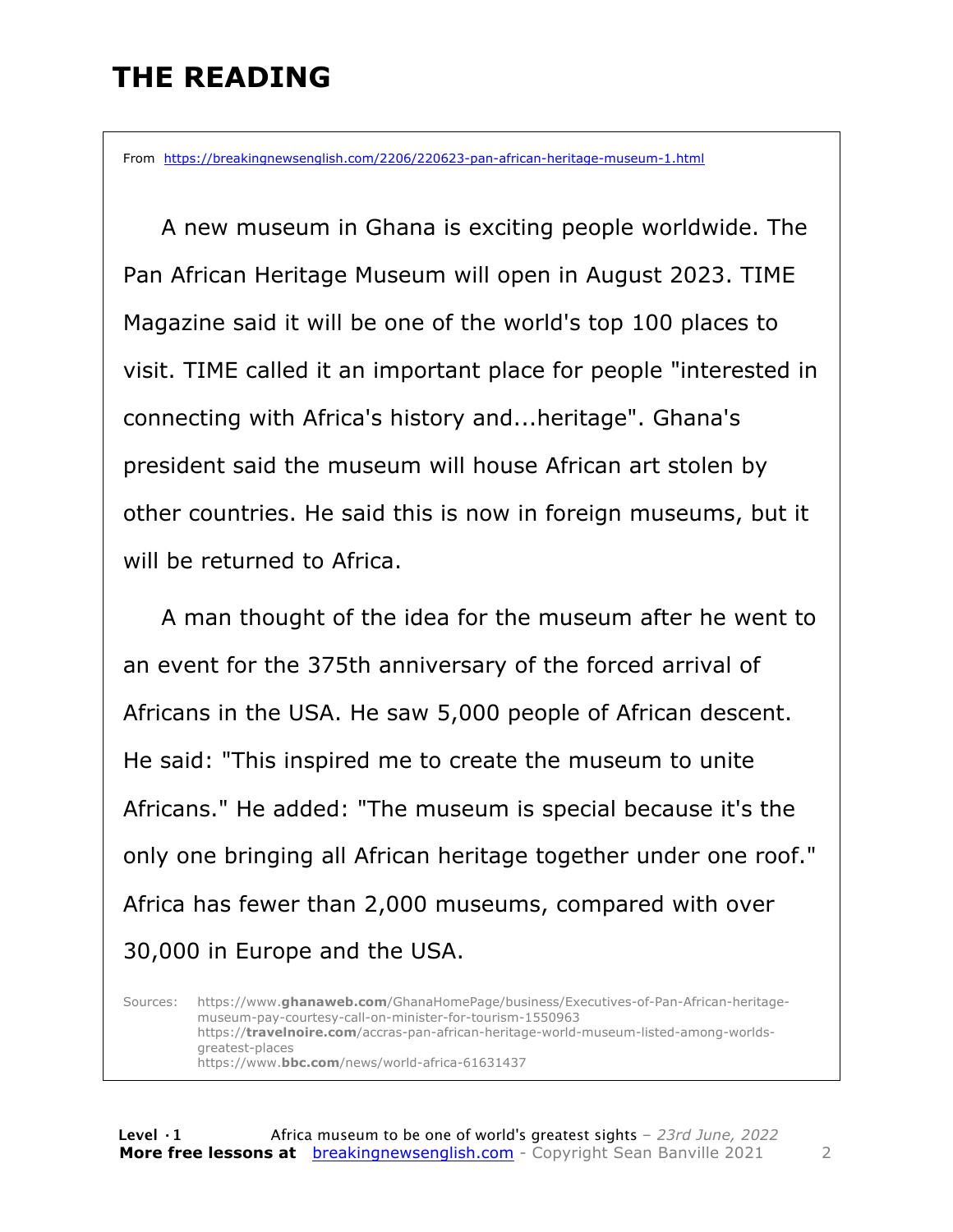# **THE READING**

From https://breakingnewsenglish.com/2206/220623-pan-african-heritage-museum-1.html

 A new museum in Ghana is exciting people worldwide. The Pan African Heritage Museum will open in August 2023. TIME Magazine said it will be one of the world's top 100 places to visit. TIME called it an important place for people "interested in connecting with Africa's history and...heritage". Ghana's president said the museum will house African art stolen by other countries. He said this is now in foreign museums, but it will be returned to Africa.

 A man thought of the idea for the museum after he went to an event for the 375th anniversary of the forced arrival of Africans in the USA. He saw 5,000 people of African descent. He said: "This inspired me to create the museum to unite Africans." He added: "The museum is special because it's the only one bringing all African heritage together under one roof." Africa has fewer than 2,000 museums, compared with over 30,000 in Europe and the USA.

Sources: https://www.**ghanaweb.com**/GhanaHomePage/business/Executives-of-Pan-African-heritagemuseum-pay-courtesy-call-on-minister-for-tourism-1550963 https://**travelnoire.com**/accras-pan-african-heritage-world-museum-listed-among-worldsgreatest-places https://www.**bbc.com**/news/world-africa-61631437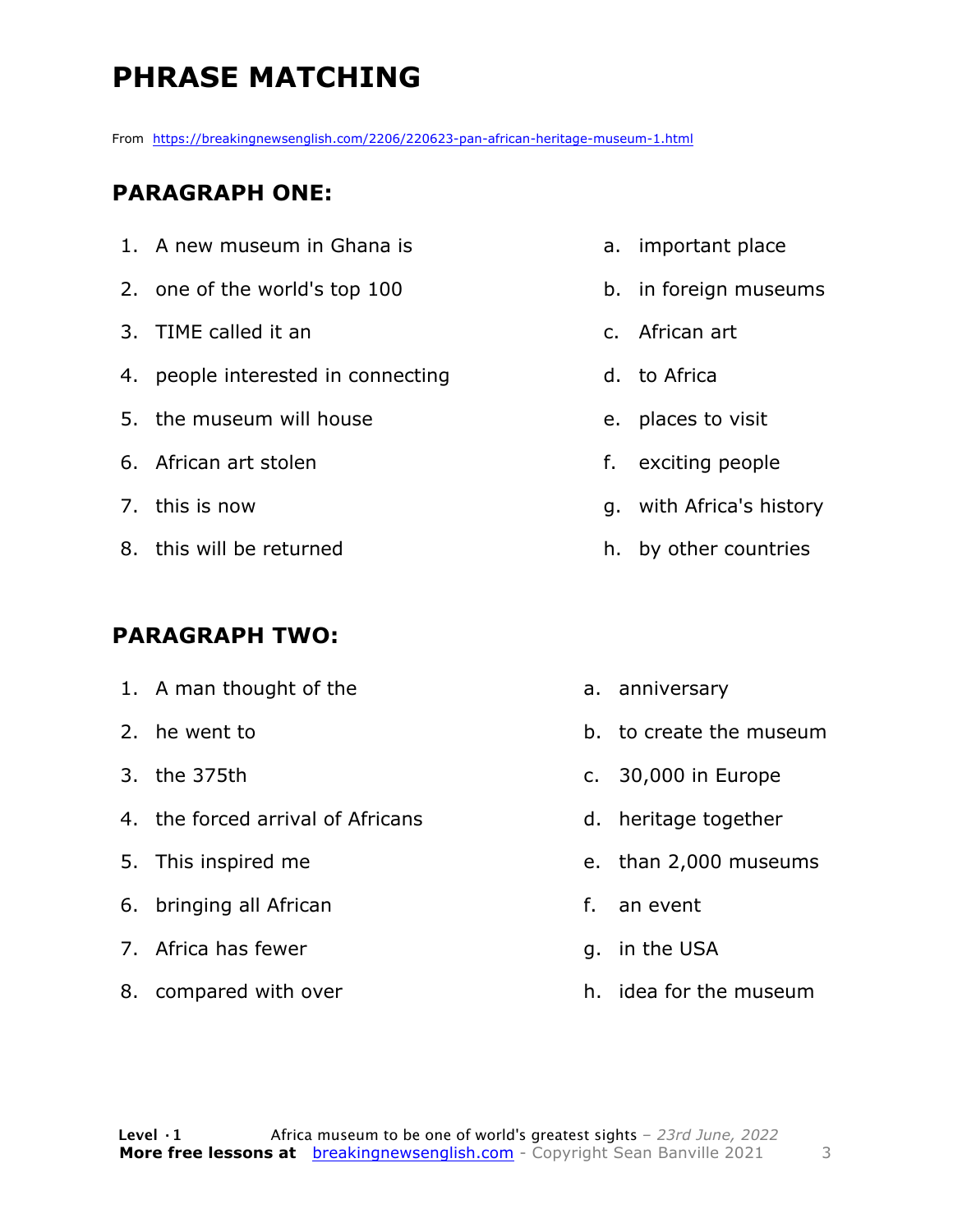# **PHRASE MATCHING**

From https://breakingnewsenglish.com/2206/220623-pan-african-heritage-museum-1.html

#### **PARAGRAPH ONE:**

| 1. A new museum in Ghana is        |    | a. important place       |
|------------------------------------|----|--------------------------|
| 2. one of the world's top 100      |    | b. in foreign museums    |
| 3. TIME called it an               |    | c. African art           |
| 4. people interested in connecting |    | d. to Africa             |
| 5. the museum will house           |    | e. places to visit       |
| 6. African art stolen              | f. | exciting people          |
| 7. this is now                     |    | g. with Africa's history |
| 8. this will be returned           |    | h. by other countries    |

#### **PARAGRAPH TWO:**

8. compared with over

|    | 1. A man thought of the           |    | a. anniversary          |
|----|-----------------------------------|----|-------------------------|
|    | 2. he went to                     |    | b. to create the museum |
|    | 3. the 375th                      |    | c. 30,000 in Europe     |
|    | 4. the forced arrival of Africans |    | d. heritage together    |
|    | 5. This inspired me               |    | e. than 2,000 museums   |
| 6. | bringing all African              | f. | an event                |
|    | 7. Africa has fewer               |    | g. in the USA           |
|    |                                   |    |                         |

h. idea for the museum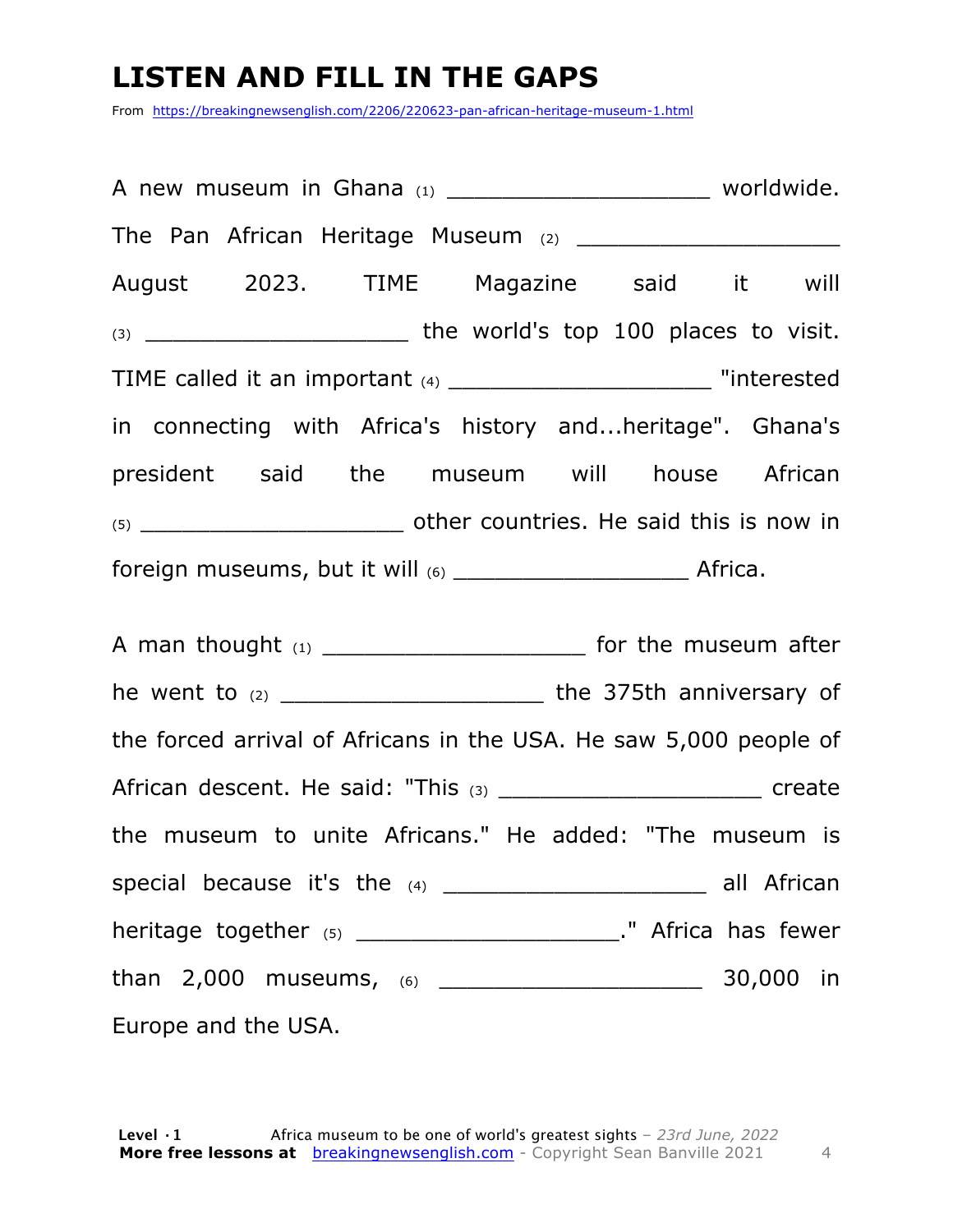## **LISTEN AND FILL IN THE GAPS**

From https://breakingnewsenglish.com/2206/220623-pan-african-heritage-museum-1.html

| A new museum in Ghana (1) __________________________________ worldwide.    |  |  |  |
|----------------------------------------------------------------------------|--|--|--|
|                                                                            |  |  |  |
| August 2023. TIME Magazine said it will                                    |  |  |  |
|                                                                            |  |  |  |
| TIME called it an important (4) ______________________________ "interested |  |  |  |
| in connecting with Africa's history andheritage". Ghana's                  |  |  |  |
| president said the museum will house African                               |  |  |  |
|                                                                            |  |  |  |
|                                                                            |  |  |  |
| A man thought (1) _________________________ for the museum after           |  |  |  |
| he went to (2) ______________________________ the 375th anniversary of     |  |  |  |
| the forced arrival of Africans in the USA. He saw 5,000 people of          |  |  |  |
|                                                                            |  |  |  |
| the museum to unite Africans." He added: "The museum is                    |  |  |  |
|                                                                            |  |  |  |
| heritage together $(5)$ _____________________________." Africa has fewer   |  |  |  |
|                                                                            |  |  |  |
| Europe and the USA.                                                        |  |  |  |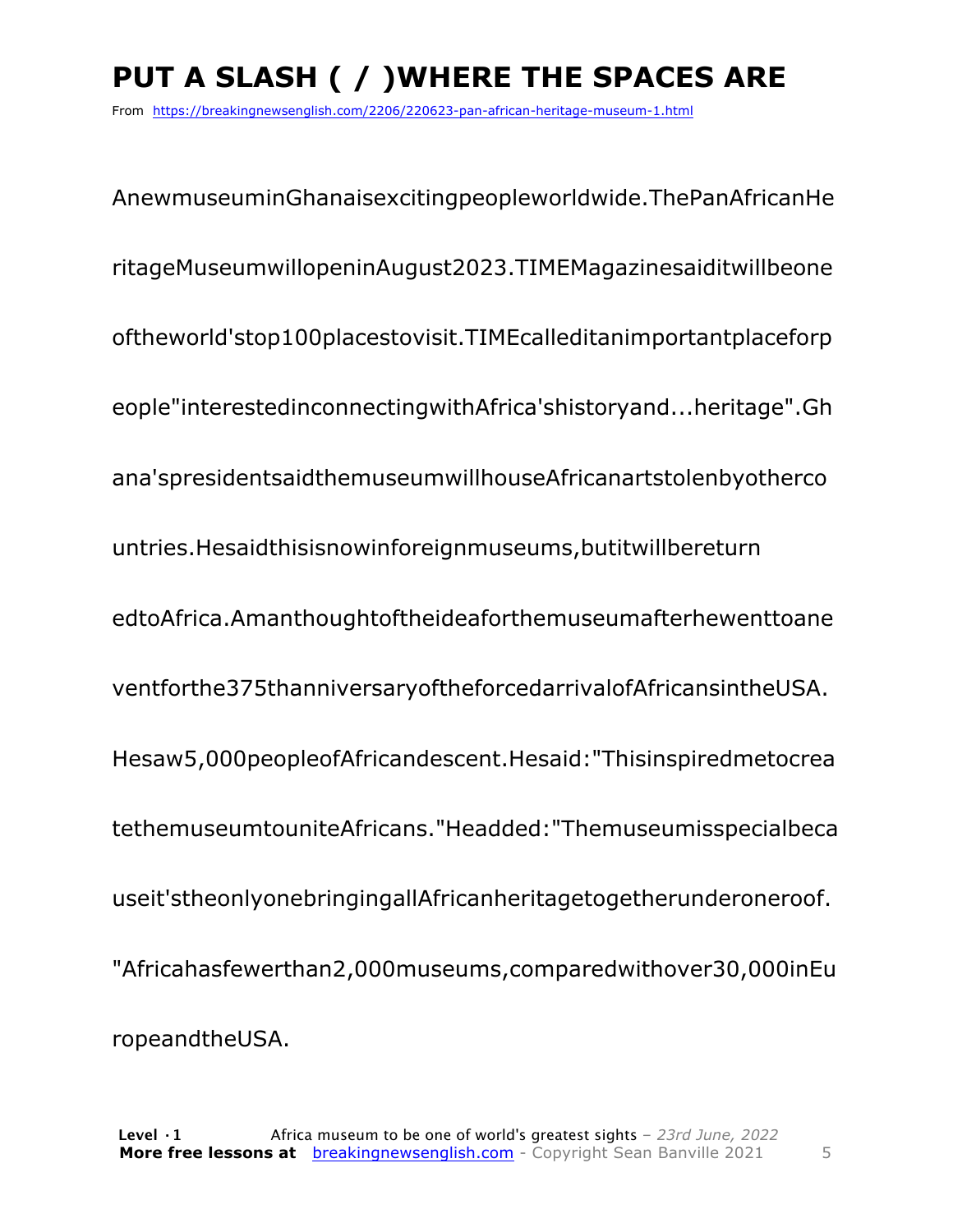# **PUT A SLASH ( / )WHERE THE SPACES ARE**

From https://breakingnewsenglish.com/2206/220623-pan-african-heritage-museum-1.html

AnewmuseuminGhanaisexcitingpeopleworldwide.ThePanAfricanHe ritageMuseumwillopeninAugust2023.TIMEMagazinesaiditwillbeone oftheworld'stop100placestovisit.TIMEcalleditanimportantplaceforp eople"interestedinconnectingwithAfrica'shistoryand...heritage".Gh ana'spresidentsaidthemuseumwillhouseAfricanartstolenbyotherco untries.Hesaidthisisnowinforeignmuseums,butitwillbereturn edtoAfrica.Amanthoughtoftheideaforthemuseumafterhewenttoane ventforthe375thanniversaryoftheforcedarrivalofAfricansintheUSA. Hesaw5,000peopleofAfricandescent.Hesaid:"Thisinspiredmetocrea tethemuseumtouniteAfricans."Headded:"Themuseumisspecialbeca useit'stheonlyonebringingallAfricanheritagetogetherunderoneroof. "Africahasfewerthan2,000museums,comparedwithover30,000inEu ropeandtheUSA.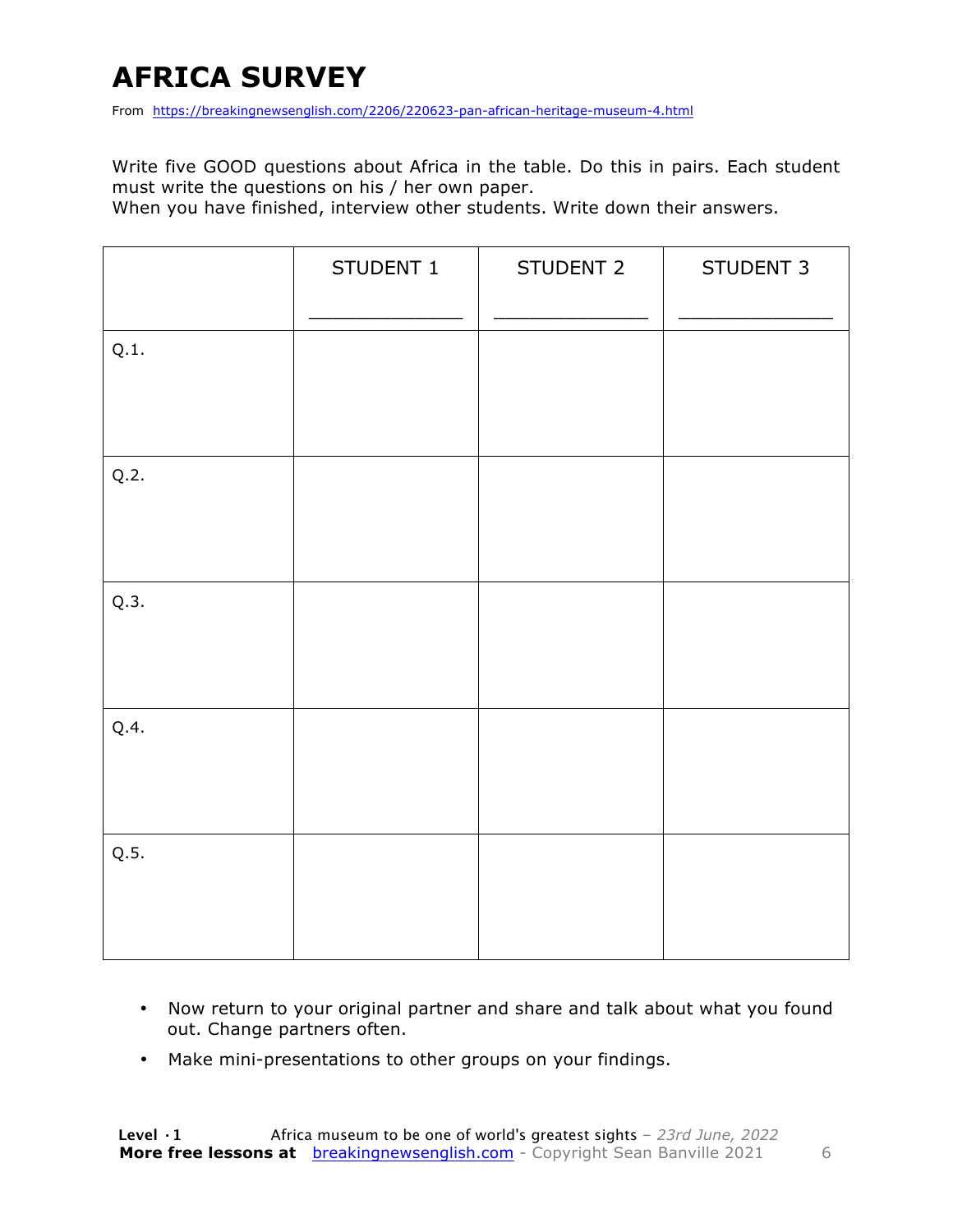# **AFRICA SURVEY**

From https://breakingnewsenglish.com/2206/220623-pan-african-heritage-museum-4.html

Write five GOOD questions about Africa in the table. Do this in pairs. Each student must write the questions on his / her own paper.

When you have finished, interview other students. Write down their answers.

|      | STUDENT 1 | STUDENT 2 | STUDENT 3 |
|------|-----------|-----------|-----------|
| Q.1. |           |           |           |
| Q.2. |           |           |           |
| Q.3. |           |           |           |
| Q.4. |           |           |           |
| Q.5. |           |           |           |

- Now return to your original partner and share and talk about what you found out. Change partners often.
- Make mini-presentations to other groups on your findings.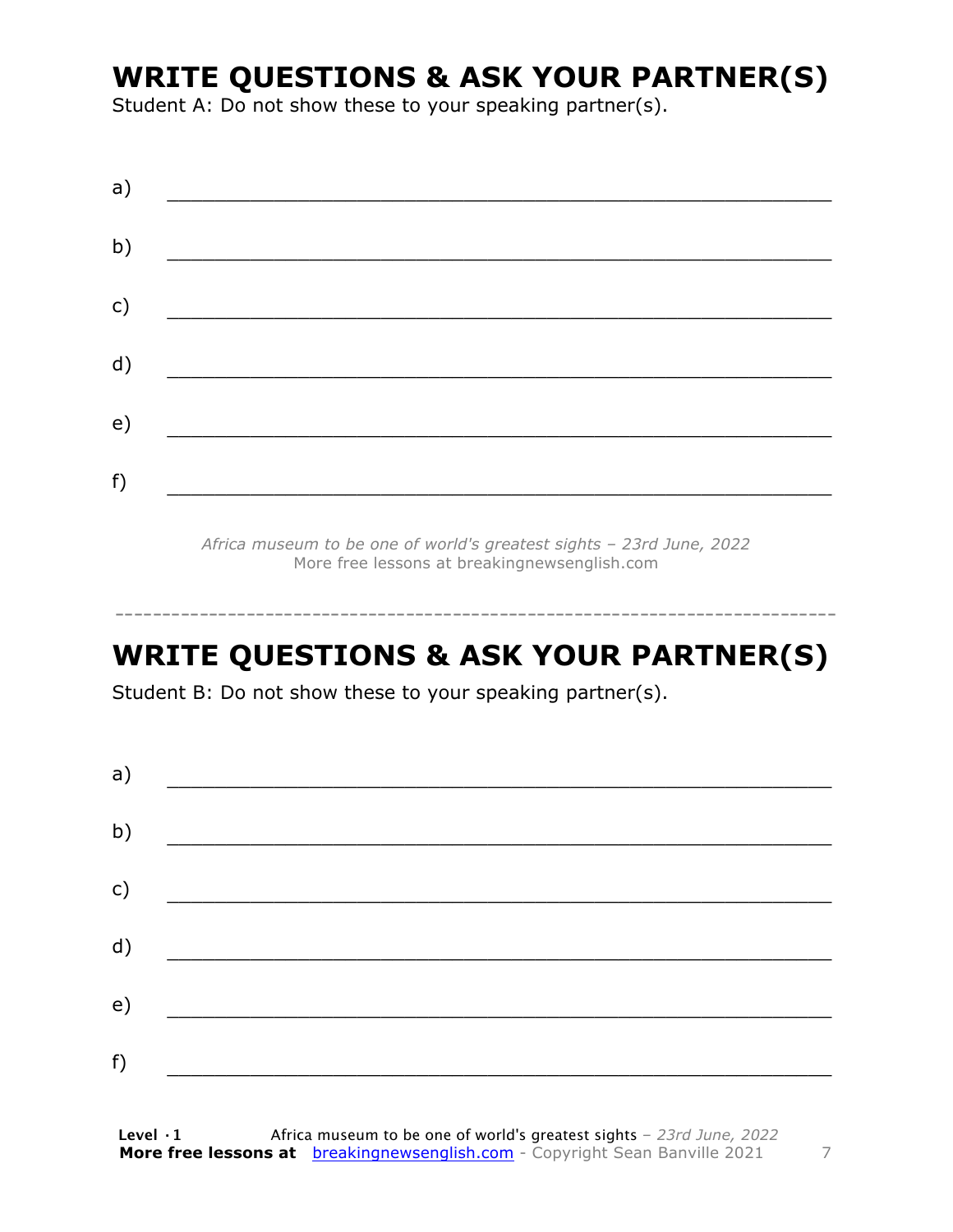## **WRITE QUESTIONS & ASK YOUR PARTNER(S)**

Student A: Do not show these to your speaking partner(s).

| a) |  |  |
|----|--|--|
| b) |  |  |
| c) |  |  |
| d) |  |  |
| e) |  |  |
| f) |  |  |
|    |  |  |

*Africa museum to be one of world's greatest sights – 23rd June, 2022* More free lessons at breakingnewsenglish.com

### **WRITE QUESTIONS & ASK YOUR PARTNER(S)**

-----------------------------------------------------------------------------

Student B: Do not show these to your speaking partner(s).

| a) |  |  |
|----|--|--|
| b) |  |  |
| c) |  |  |
| d) |  |  |
| e) |  |  |
| f) |  |  |
|    |  |  |

**Level ·1** Africa museum to be one of world's greatest sights *– 23rd June, 2022* **More free lessons at** breakingnewsenglish.com - Copyright Sean Banville 2021 7